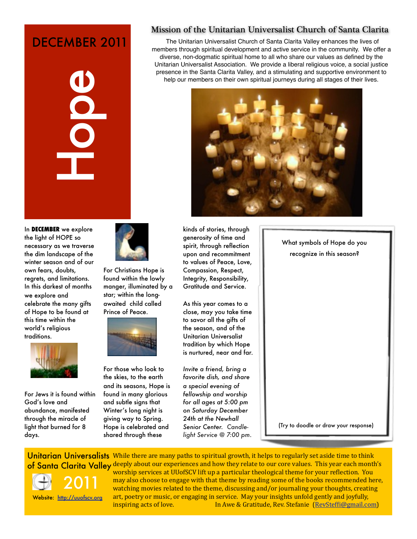# DECEMBER 2011





For Jews it is found within God's love and abundance, manifested through the miracle of light that burned for 8 days.



For Christians Hope is found within the lowly manger, illuminated by a star; within the longawaited child called Prince of Peace.



For those who look to the skies, to the earth and its seasons, Hope is found in many glorious and subtle signs that Winter's long night is giving way to Spring. Hope is celebrated and shared through these

Mission of the Unitarian Universalist Church of Santa Clarita

The Unitarian Universalist Church of Santa Clarita Valley enhances the lives of members through spiritual development and active service in the community. We offer a diverse, non-dogmatic spiritual home to all who share our values as defined by the Unitarian Universalist Association. We provide a liberal religious voice, a social justice presence in the Santa Clarita Valley, and a stimulating and supportive environment to help our members on their own spiritual journeys during all stages of their lives.



kinds of stories, through generosity of time and spirit, through reflection upon and recommitment to values of Peace, Love, Compassion, Respect, Integrity, Responsibility, Gratitude and Service.

As this year comes to a close, may you take time to savor all the gifts of the season, and of the Unitarian Universalist tradition by which Hope is nurtured, near and far.

*Invite a friend, bring a favorite dish, and share a special evening of fellowship and worship for all ages at 5:00 pm on Saturday December 24th at the Newhall Senior Center. Candlelight Service @ 7:00 pm*. What symbols of Hope do you recognize in this season?

(Try to doodle or draw your response)

Unitarian Universalists While there are many paths to spiritual growth, it helps to regularly set aside time to think of Santa Clarita Valley deeply about our experiences and how they relate to our core values. This year each month's



2011 Website: <http://uuofscv.org> worship services at UUofSCV lift up a particular theological theme for your reflection. You may also choose to engage with that theme by reading some of the books recommended here, watching movies related to the theme, discussing and/or journaling your thoughts, creating art, poetry or music, or engaging in service. May your insights unfold gently and joyfully, inspiring acts of love. In Awe & Gratitude, Rev. Stefanie [\(RevStefBi@gmail.com\)](mailto:RevSteffi@gmail.com)